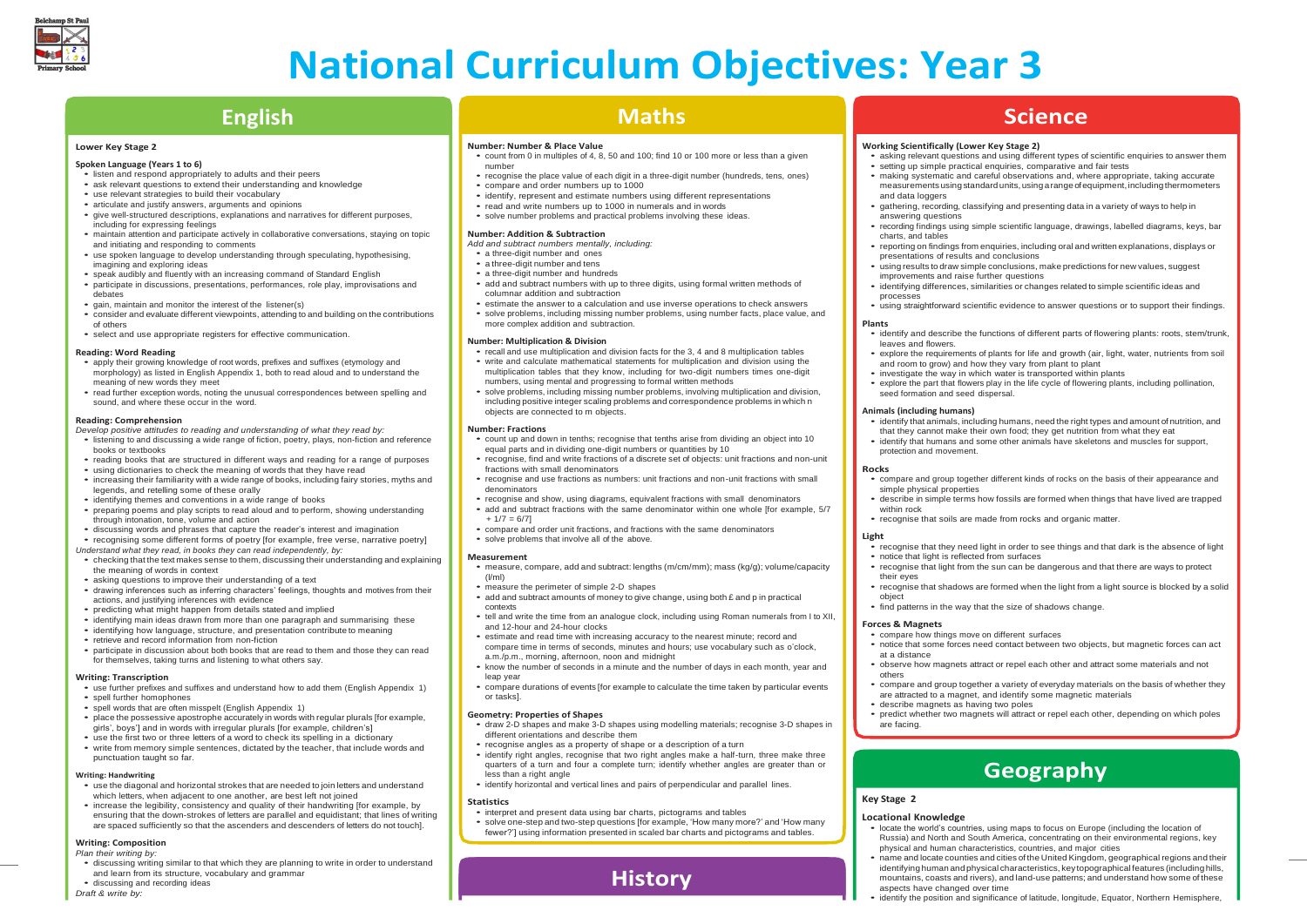#### **Lower Key Stage 2**

#### **Spoken Language (Years 1 to 6)**

- listen and respond appropriately to adults and their peers
- ask relevant questions to extend their understanding and knowledge
- use relevant strategies to build their vocabulary
- articulate and justify answers, arguments and opinions
- give well-structured descriptions, explanations and narratives for different purposes, including for expressing feelings
- maintain attention and participate actively in collaborative conversations, staying on topic and initiating and responding to comments
- use spoken language to develop understanding through speculating, hypothesising, imagining and exploring ideas
- speak audibly and fluently with an increasing command of Standard English
- participate in discussions, presentations, performances, role play, improvisations and debates
- gain, maintain and monitor the interest of the listener(s)
- consider and evaluate different viewpoints, attending to and building on the contributions of others
- select and use appropriate registers for effective communication.

#### **Reading: Word Reading**

- apply their growing knowledge of root words, prefixes and suffixes (etymology and morphology) as listed in English Appendix 1, both to read aloud and to understand the meaning of new words they meet
- read further exception words, noting the unusual correspondences between spelling and sound, and where these occur in the word.

#### **Reading: Comprehension**

- *Develop positive attitudes to reading and understanding of what they read by:*
- listening to and discussing a wide range of fiction, poetry, plays, non-fiction and reference books or textbooks
- reading books that are structured in different ways and reading for <sup>a</sup> range of purposes
- using dictionaries to check the meaning of words that they have read
- increasing their familiarity with <sup>a</sup> wide range of books, including fairy stories, myths and legends, and retelling some of these orally
- identifying themes and conventions in a wide range of books
- preparing poems and play scripts to read aloud and to perform, showing understanding through intonation, tone, volume and action
- discussing words and phrases that capture the reader's interest and imagination
- recognising some different forms of poetry [for example, free verse, narrative poetry]
- *Understand what they read, in books they can read independently, by:* • checking that the text makes sense to them, discussing their understanding and explaining
- the meaning of words in context
- asking questions to improve their understanding of a text
- drawing inferences such as inferring characters' feelings, thoughts and motives from their actions, and justifying inferences with evidence
- predicting what might happen from details stated and implied
- identifying main ideas drawn from more than one paragraph and summarising these
- identifying how language, structure, and presentation contribute to meaning
- retrieve and record information from non-fiction
- participate in discussion about both books that are read to them and those they can read for themselves, taking turns and listening to what others say.

#### **Writing: Transcription**

- use further prefixes and suffixes and understand how to add them (English Appendix 1)
- spell further homophones
- spell words that are often misspelt (English Appendix 1)
- place the possessive apostrophe accurately in words with regular plurals [for example, girls', boys'] and in words with irregular plurals [for example, children's]
- use the first two or three letters of a word to check its spelling in a dictionary
- write from memory simple sentences, dictated by the teacher, that include words and punctuation taught so far.

#### **Writing: Handwriting**

- use the diagonal and horizontal strokes that are needed to join letters and understand which letters, when adjacent to one another, are best left not joined
- increase the legibility, consistency and quality of their handwriting [for example, by ensuring that the down-strokes of letters are parallel and equidistant; that lines of writing are spaced sufficiently so that the ascenders and descenders of letters do not touch].

#### **Writing: Composition**

- *Plan their writing by:*
- discussing writing similar to that which they are planning to write in order to understand and learn from its structure, vocabulary and grammar

• discussing and recording ideas *Draft & write by:*

## **English**

**Key Stage 2** 

**Locational Knowledge**

• locate the world's countries, using maps to focus on Europe (including the location of Russia) and North and South America, concentrating on their environmental regions, key physical and human characteristics, countries, and major cities

• making systematic and careful observations and, where appropriate, taking accurate measurements using standard units, using a range of equipment, including thermometers

• name and locate counties and cities of the United Kingdom, geographical regions and their identifying human and physical characteristics, key topographical features (including hills, mountains, coasts and rivers), and land-use patterns; and understand how some of these aspects have changed over time

• identify the position and significance of latitude, longitude, Equator, Northern Hemisphere,

## **Geography**

**History**

#### **Number: Number & Place Value**

- count from 0 in multiples of 4, 8, 50 and 100; find 10 or 100 more or less than a given number
- recognise the place value of each digit in a three-digit number (hundreds, tens, ones) • compare and order numbers up to <sup>1000</sup>
- identify, represent and estimate numbers using different representations
- read and write numbers up to 1000 in numerals and in words
- solve number problems and practical problems involving these ideas.

#### **Number: Addition & Subtraction**

- *Add and subtract numbers mentally, including:*
- a three-digit number and ones
- a three-digit number and tens
- a three-digit number and hundreds
- add and subtract numbers with up to three digits, using formal written methods of columnar addition and subtraction
- estimate the answer to <sup>a</sup> calculation and use inverse operations to check answers • solve problems, including missing number problems, using number facts, place value, and more complex addition and subtraction.

#### **Number: Multiplication & Division**

- recall and use multiplication and division facts for the 3, 4 and 8 multiplication tables
- write and calculate mathematical statements for multiplication and division using the multiplication tables that they know, including for two-digit numbers times one-digit
- numbers, using mental and progressing to formal written methods • solve problems, including missing number problems, involving multiplication and division, including positive integer scaling problems and correspondence problems in which n objects are connected to m objects.

#### **Number: Fractions**

- count up and down in tenths; recognise that tenths arise from dividing an object into 10 equal parts and in dividing one-digit numbers or quantities by 10
- recognise, find and write fractions of <sup>a</sup> discrete set of objects: unit fractions and non-unit fractions with small denominators
- recognise and use fractions as numbers: unit fractions and non-unit fractions with small denominators
- recognise and show, using diagrams, equivalent fractions with small denominators
- add and subtract fractions with the same denominator within one whole [for example, 5/7  $+ 1/7 = 6/71$
- compare and order unit fractions, and fractions with the same denominators
- solve problems that involve all of the above.

#### **Measurement**

- measure, compare, add and subtract: lengths (m/cm/mm); mass (kg/g); volume/capacity  $(1/m)$
- measure the perimeter of simple 2-D shapes
- add and subtract amounts of money to give change, using both £ and <sup>p</sup> in practical contexts
- tell and write the time from an analogue clock, including using Roman numerals from I to XII, and 12-hour and 24-hour clocks
- estimate and read time with increasing accuracy to the nearest minute; record and compare time in terms of seconds, minutes and hours; use vocabulary such as o'clock, a.m./p.m., morning, afternoon, noon and midnight
- know the number of seconds in a minute and the number of days in each month, year and leap year
- compare durations of events [for example to calculate the time taken by particular events or tasks].

#### **Geometry: Properties of Shapes**

- draw 2-D shapes and make 3-D shapes using modelling materials; recognise 3-D shapes in different orientations and describe them
- recognise angles as a property of shape or a description of a turn
- identify right angles, recognise that two right angles make a half-turn, three make three quarters of a turn and four a complete turn; identify whether angles are greater than or less than a right angle
- identify horizontal and vertical lines and pairs of perpendicular and parallel lines.

#### **Statistics**

- interpret and present data using bar charts, pictograms and tables
- solve one-step and two-step questions [for example, 'How many more?' and 'How many fewer?'] using information presented in scaled bar charts and pictograms and tables.

### **Maths**

#### **Working Scientifically (Lower Key Stage 2)**

• asking relevant questions and using different types of scientific enquiries to answer them • setting up simple practical enquiries, comparative and fair tests

- 
- 
- and data loggers

• gathering, recording, classifying and presenting data in <sup>a</sup> variety of ways to help in

answering questions

• recording findings using simple scientific language, drawings, labelled diagrams, keys, bar

charts, and tables

• reporting on findings from enquiries, including oral and written explanations, displays or presentations of results and conclusions

• using results to draw simple conclusions, make predictions for new values, suggest improvements and raise further questions

• identifying differences, similarities or changes related to simple scientific ideas and

processes

• using straightforward scientific evidence to answer questions or to support their findings.

**Plants**

• identify and describe the functions of different parts of flowering plants: roots, stem/trunk,

leaves and flowers.

• explore the requirements of plants for life and growth (air, light, water, nutrients from soil and room to grow) and how they vary from plant to plant

• investigate the way in which water is transported within plants

• explore the part that flowers play in the life cycle of flowering plants, including pollination, seed formation and seed dispersal.

**Animals (including humans)**

• identify that animals, including humans, need the right types and amount of nutrition, and that they cannot make their own food; they get nutrition from what they eat • identify that humans and some other animals have skeletons and muscles for support,

protection and movement.

**Rocks**

• compare and group together different kinds of rocks on the basis of their appearance and

simple physical properties

• describe in simple terms how fossils are formed when things that have lived are trapped

• recognise that soils are made from rocks and organic matter.

**Light**

within rock

• recognise that they need light in order to see things and that dark is the absence of light • notice that light is reflected from surfaces

• recognise that light from the sun can be dangerous and that there are ways to protect

their eyes

• recognise that shadows are formed when the light from <sup>a</sup> light source is blocked by <sup>a</sup> solid

object

• find patterns in the way that the size of shadows change.

**Forces & Magnets**

• compare how things move on different surfaces • notice that some forces need contact between two objects, but magnetic forces can act

at a distance

• observe how magnets attract or repel each other and attract some materials and not

others

• compare and group together <sup>a</sup> variety of everyday materials on the basis of whether they are attracted to a magnet, and identify some magnetic materials • describe magnets as having two poles

• predict whether two magnets will attract or repel each other, depending on which poles

are facing.

### **Science**



# **National Curriculum Objectives: Year 3**